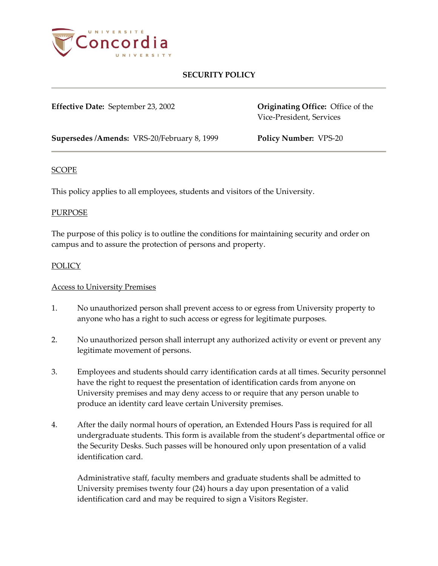

**Effective Date:** September 23, 2002 **Originating Office:** Office of the

Vice-President, Services

**Supersedes /Amends:** VRS-20/February 8, 1999 **Policy Number:** VPS-20

#### SCOPE

This policy applies to all employees, students and visitors of the University.

### PURPOSE

The purpose of this policy is to outline the conditions for maintaining security and order on campus and to assure the protection of persons and property.

### **POLICY**

### Access to University Premises

- 1. No unauthorized person shall prevent access to or egress from University property to anyone who has a right to such access or egress for legitimate purposes.
- 2. No unauthorized person shall interrupt any authorized activity or event or prevent any legitimate movement of persons.
- 3. Employees and students should carry identification cards at all times. Security personnel have the right to request the presentation of identification cards from anyone on University premises and may deny access to or require that any person unable to produce an identity card leave certain University premises.
- 4. After the daily normal hours of operation, an Extended Hours Pass is required for all undergraduate students. This form is available from the student's departmental office or the Security Desks. Such passes will be honoured only upon presentation of a valid identification card.

Administrative staff, faculty members and graduate students shall be admitted to University premises twenty four (24) hours a day upon presentation of a valid identification card and may be required to sign a Visitors Register.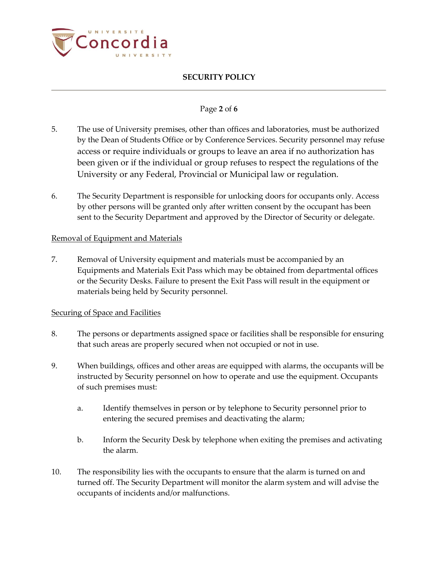

### Page **2** of **6**

- 5. The use of University premises, other than offices and laboratories, must be authorized by the Dean of Students Office or by Conference Services. Security personnel may refuse access or require individuals or groups to leave an area if no authorization has been given or if the individual or group refuses to respect the regulations of the University or any Federal, Provincial or Municipal law or regulation.
- 6. The Security Department is responsible for unlocking doors for occupants only. Access by other persons will be granted only after written consent by the occupant has been sent to the Security Department and approved by the Director of Security or delegate.

#### Removal of Equipment and Materials

7. Removal of University equipment and materials must be accompanied by an Equipments and Materials Exit Pass which may be obtained from departmental offices or the Security Desks. Failure to present the Exit Pass will result in the equipment or materials being held by Security personnel.

#### Securing of Space and Facilities

- 8. The persons or departments assigned space or facilities shall be responsible for ensuring that such areas are properly secured when not occupied or not in use.
- 9. When buildings, offices and other areas are equipped with alarms, the occupants will be instructed by Security personnel on how to operate and use the equipment. Occupants of such premises must:
	- a. Identify themselves in person or by telephone to Security personnel prior to entering the secured premises and deactivating the alarm;
	- b. Inform the Security Desk by telephone when exiting the premises and activating the alarm.
- 10. The responsibility lies with the occupants to ensure that the alarm is turned on and turned off. The Security Department will monitor the alarm system and will advise the occupants of incidents and/or malfunctions.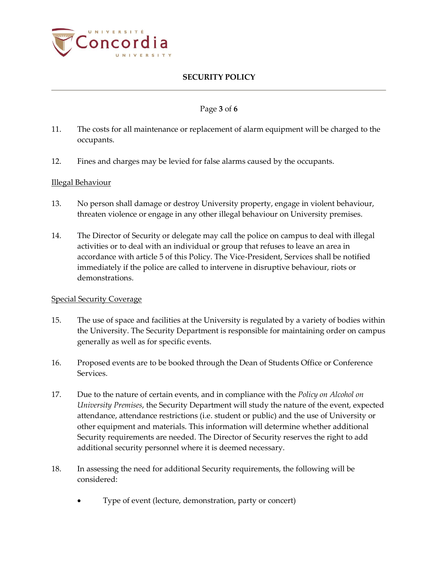

### Page **3** of **6**

- 11. The costs for all maintenance or replacement of alarm equipment will be charged to the occupants.
- 12. Fines and charges may be levied for false alarms caused by the occupants.

#### Illegal Behaviour

- 13. No person shall damage or destroy University property, engage in violent behaviour, threaten violence or engage in any other illegal behaviour on University premises.
- 14. The Director of Security or delegate may call the police on campus to deal with illegal activities or to deal with an individual or group that refuses to leave an area in accordance with article 5 of this Policy. The Vice-President, Services shall be notified immediately if the police are called to intervene in disruptive behaviour, riots or demonstrations.

#### Special Security Coverage

- 15. The use of space and facilities at the University is regulated by a variety of bodies within the University. The Security Department is responsible for maintaining order on campus generally as well as for specific events.
- 16. Proposed events are to be booked through the Dean of Students Office or Conference Services.
- 17. Due to the nature of certain events, and in compliance with the *Policy on Alcohol on University Premises*, the Security Department will study the nature of the event, expected attendance, attendance restrictions (i.e. student or public) and the use of University or other equipment and materials. This information will determine whether additional Security requirements are needed. The Director of Security reserves the right to add additional security personnel where it is deemed necessary.
- 18. In assessing the need for additional Security requirements, the following will be considered:
	- Type of event (lecture, demonstration, party or concert)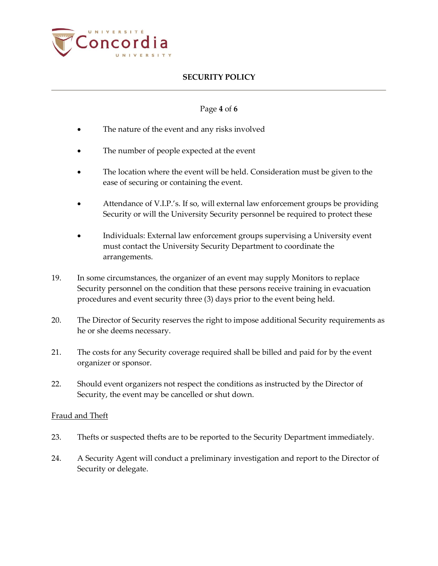

### Page **4** of **6**

- The nature of the event and any risks involved
- The number of people expected at the event
- The location where the event will be held. Consideration must be given to the ease of securing or containing the event.
- Attendance of V.I.P.'s. If so, will external law enforcement groups be providing Security or will the University Security personnel be required to protect these
- Individuals: External law enforcement groups supervising a University event must contact the University Security Department to coordinate the arrangements.
- 19. In some circumstances, the organizer of an event may supply Monitors to replace Security personnel on the condition that these persons receive training in evacuation procedures and event security three (3) days prior to the event being held.
- 20. The Director of Security reserves the right to impose additional Security requirements as he or she deems necessary.
- 21. The costs for any Security coverage required shall be billed and paid for by the event organizer or sponsor.
- 22. Should event organizers not respect the conditions as instructed by the Director of Security, the event may be cancelled or shut down.

#### Fraud and Theft

- 23. Thefts or suspected thefts are to be reported to the Security Department immediately.
- 24. A Security Agent will conduct a preliminary investigation and report to the Director of Security or delegate.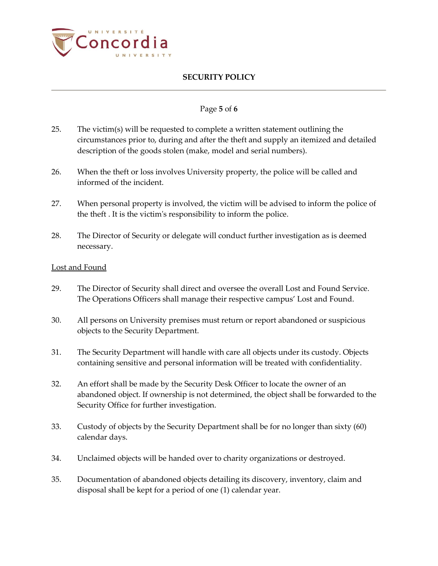

### Page **5** of **6**

- 25. The victim(s) will be requested to complete a written statement outlining the circumstances prior to, during and after the theft and supply an itemized and detailed description of the goods stolen (make, model and serial numbers).
- 26. When the theft or loss involves University property, the police will be called and informed of the incident.
- 27. When personal property is involved, the victim will be advised to inform the police of the theft . It is the victim's responsibility to inform the police.
- 28. The Director of Security or delegate will conduct further investigation as is deemed necessary.

#### Lost and Found

- 29. The Director of Security shall direct and oversee the overall Lost and Found Service. The Operations Officers shall manage their respective campus' Lost and Found.
- 30. All persons on University premises must return or report abandoned or suspicious objects to the Security Department.
- 31. The Security Department will handle with care all objects under its custody. Objects containing sensitive and personal information will be treated with confidentiality.
- 32. An effort shall be made by the Security Desk Officer to locate the owner of an abandoned object. If ownership is not determined, the object shall be forwarded to the Security Office for further investigation.
- 33. Custody of objects by the Security Department shall be for no longer than sixty (60) calendar days.
- 34. Unclaimed objects will be handed over to charity organizations or destroyed.
- 35. Documentation of abandoned objects detailing its discovery, inventory, claim and disposal shall be kept for a period of one (1) calendar year.